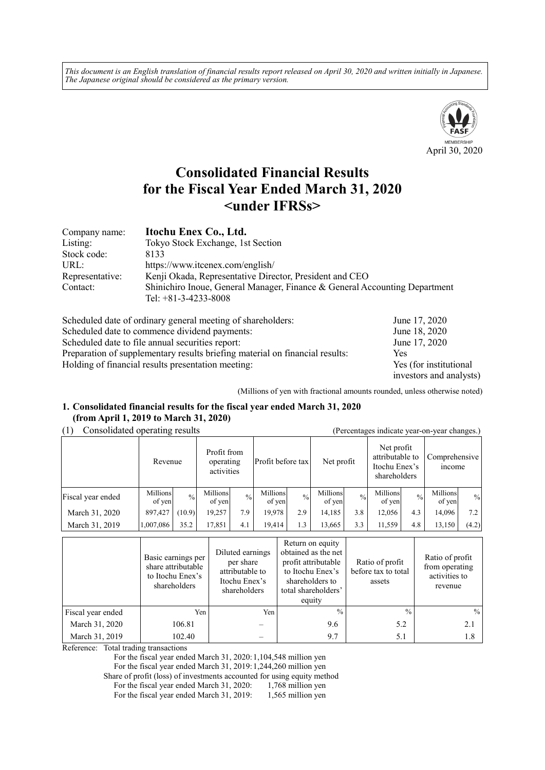*This document is an English translation of financial results report released on April 30, 2020 and written initially in Japanese. The Japanese original should be considered as the primary version.*



# **Consolidated Financial Results for the Fiscal Year Ended March 31, 2020 <under IFRSs>**

| Company name:   | Itochu Enex Co., Ltd.                                                                                |
|-----------------|------------------------------------------------------------------------------------------------------|
| Listing:        | Tokyo Stock Exchange, 1st Section                                                                    |
| Stock code:     | 8133                                                                                                 |
| URL:            | https://www.itcenex.com/english/                                                                     |
| Representative: | Kenji Okada, Representative Director, President and CEO                                              |
| Contact:        | Shinichiro Inoue, General Manager, Finance & General Accounting Department<br>Tel: $+81-3-4233-8008$ |

| Scheduled date of ordinary general meeting of shareholders:                  | June 17, 2020           |
|------------------------------------------------------------------------------|-------------------------|
| Scheduled date to commence dividend payments:                                | June 18, 2020           |
| Scheduled date to file annual securities report:                             | June 17, 2020           |
| Preparation of supplementary results briefing material on financial results: | Yes                     |
| Holding of financial results presentation meeting:                           | Yes (for institutional  |
|                                                                              | investors and analysts) |

(Millions of yen with fractional amounts rounded, unless otherwise noted)

#### **1. Consolidated financial results for the fiscal year ended March 31, 2020 (from April 1, 2019 to March 31, 2020)**

## (1) Consolidated operating results (Percentages indicate year-on-year changes.)

| $\alpha$ creding to mercure your only your changes. |                    |               |                                        |               |                    |               |                    |             |                                                                |               |                                |               |
|-----------------------------------------------------|--------------------|---------------|----------------------------------------|---------------|--------------------|---------------|--------------------|-------------|----------------------------------------------------------------|---------------|--------------------------------|---------------|
|                                                     | Revenue            |               | Profit from<br>operating<br>activities |               | Profit before tax  |               | Net profit         |             | Net profit<br>attributable to<br>Itochu Enex's<br>shareholders |               | Comprehensive<br><i>n</i> come |               |
| Fiscal year ended                                   | Millions<br>of yen | $\frac{0}{0}$ | Millions<br>of yen                     | $\frac{0}{0}$ | Millions<br>of yen | $\frac{0}{0}$ | Millions<br>of yen | $^{0}/_{0}$ | Millions<br>of yen                                             | $\frac{0}{0}$ | Millions<br>of yen             | $\frac{0}{0}$ |
| March 31, 2020                                      | 897,427            | (10.9)        | 19.257                                 | 7.9           | 19.978             | 2.9           | 14.185             | 3.8         | 12.056                                                         | 4.3           | 14.096                         | 7.2           |
| March 31, 2019                                      | 1,007,086          | 35.2          | 17,851                                 | 4.1           | 19.414             | 1.3           | 13,665             | 3.3         | 11,559                                                         | 4.8           | 13,150                         | (4.2)         |

|                   | Basic earnings per<br>share attributable<br>to Itochu Enex's<br>shareholders | Diluted earnings<br>per share<br>attributable to<br>Itochu Enex's<br>shareholders | Return on equity<br>obtained as the net<br>profit attributable<br>to Itochu Enex's<br>shareholders to<br>total shareholders'<br>equity | Ratio of profit<br>before tax to total<br>assets | Ratio of profit<br>from operating<br>activities to<br>revenue |
|-------------------|------------------------------------------------------------------------------|-----------------------------------------------------------------------------------|----------------------------------------------------------------------------------------------------------------------------------------|--------------------------------------------------|---------------------------------------------------------------|
| Fiscal year ended | Yen                                                                          | Yen                                                                               | $\frac{0}{0}$                                                                                                                          | $\frac{0}{0}$                                    | $\frac{0}{0}$                                                 |
| March 31, 2020    | 106.81                                                                       |                                                                                   | 9.6                                                                                                                                    | 5.2                                              | 2.1                                                           |
| March 31, 2019    | 102.40                                                                       |                                                                                   | 9.7                                                                                                                                    | 5.1                                              | 1.8                                                           |

Reference: Total trading transactions

For the fiscal year ended March 31, 2020: 1,104,548 million yen

For the fiscal year ended March 31, 2019: 1,244,260 million yen

Share of profit (loss) of investments accounted for using equity method<br>For the fiscal year ended March 31, 2020: 1,768 million yen

For the fiscal year ended March 31, 2020: For the fiscal year ended March 31, 2019: 1,565 million yen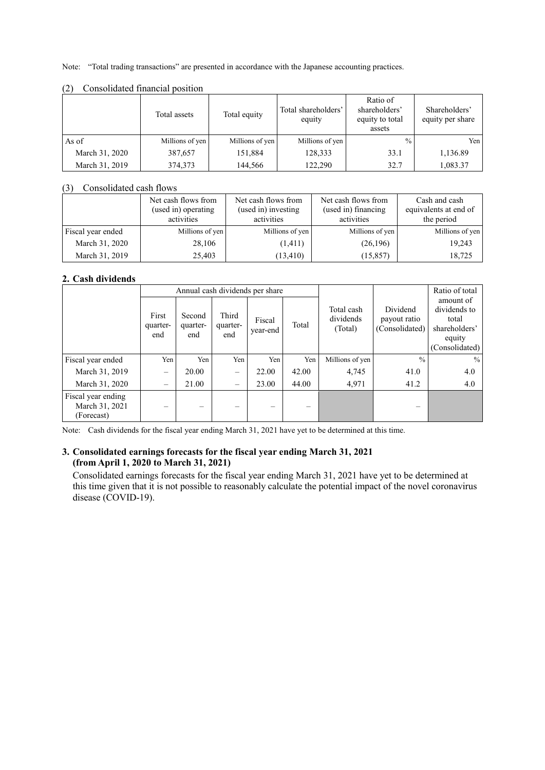Note: "Total trading transactions" are presented in accordance with the Japanese accounting practices.

|                | Total assets    | Total equity    | Total shareholders'<br>equity | Ratio of<br>shareholders'<br>equity to total<br>assets | Shareholders'<br>equity per share |
|----------------|-----------------|-----------------|-------------------------------|--------------------------------------------------------|-----------------------------------|
| As of          | Millions of yen | Millions of yen | Millions of yen               | $\frac{0}{0}$                                          | Yen I                             |
| March 31, 2020 | 387,657         | 151,884         | 128,333                       | 33.1                                                   | 1,136.89                          |
| March 31, 2019 | 374,373         | 144,566         | 122.290                       | 32.7                                                   | 1,083.37                          |

#### (2) Consolidated financial position

#### (3) Consolidated cash flows

|                   | Net cash flows from<br>(used in) operating<br>activities | Net cash flows from<br>(used in) investing<br>activities | Net cash flows from<br>(used in) financing<br>activities | Cash and cash<br>equivalents at end of<br>the period |
|-------------------|----------------------------------------------------------|----------------------------------------------------------|----------------------------------------------------------|------------------------------------------------------|
| Fiscal year ended | Millions of yen                                          | Millions of yen                                          | Millions of yen                                          | Millions of yen                                      |
| March 31, 2020    | 28,106                                                   | (1,411)                                                  | (26,196)                                                 | 19.243                                               |
| March 31, 2019    | 25,403                                                   | (13, 410)                                                | (15, 857)                                                | 18.725                                               |

#### **2. Cash dividends**

|                                                    |                          |                           |                          | Annual cash dividends per share |       |                                    |                                            | Ratio of total                                                                  |
|----------------------------------------------------|--------------------------|---------------------------|--------------------------|---------------------------------|-------|------------------------------------|--------------------------------------------|---------------------------------------------------------------------------------|
|                                                    | First<br>quarter-<br>end | Second<br>quarter-<br>end | Third<br>quarter-<br>end | Fiscal<br>year-end              | Total | Total cash<br>dividends<br>(Total) | Dividend<br>payout ratio<br>(Consolidated) | amount of<br>dividends to<br>total<br>shareholders'<br>equity<br>(Consolidated) |
| Fiscal year ended                                  | Yen                      | Yen                       | Yen                      | Yen                             | Yen   | Millions of yen                    | $\frac{0}{0}$                              | $\frac{0}{0}$                                                                   |
| March 31, 2019                                     | $\overline{\phantom{m}}$ | 20.00                     | $\equiv$                 | 22.00                           | 42.00 | 4,745                              | 41.0                                       | 4.0                                                                             |
| March 31, 2020                                     | $\qquad \qquad$          | 21.00                     | $\equiv$                 | 23.00                           | 44.00 | 4,971                              | 41.2                                       | 4.0                                                                             |
| Fiscal year ending<br>March 31, 2021<br>(Forecast) | -                        |                           |                          |                                 |       |                                    |                                            |                                                                                 |

Note: Cash dividends for the fiscal year ending March 31, 2021 have yet to be determined at this time.

#### **3. Consolidated earnings forecasts for the fiscal year ending March 31, 2021 (from April 1, 2020 to March 31, 2021)**

Consolidated earnings forecasts for the fiscal year ending March 31, 2021 have yet to be determined at this time given that it is not possible to reasonably calculate the potential impact of the novel coronavirus disease (COVID-19).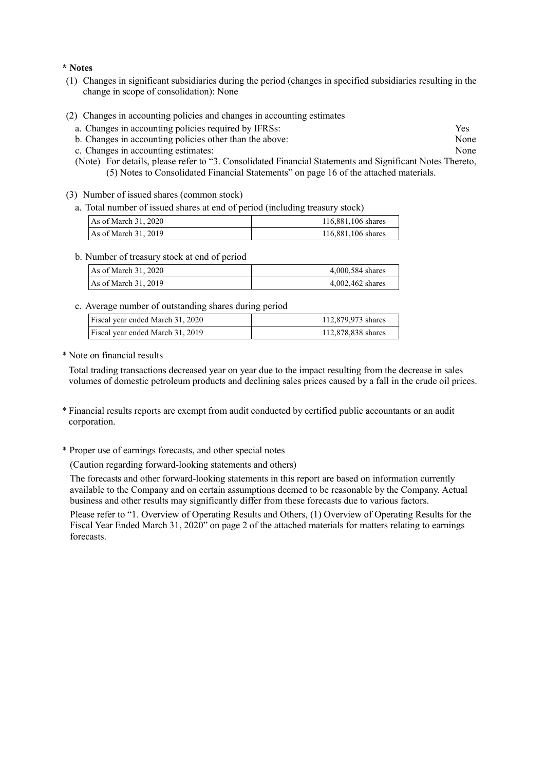#### **\* Notes**

- (1) Changes in significant subsidiaries during the period (changes in specified subsidiaries resulting in the change in scope of consolidation): None
- (2) Changes in accounting policies and changes in accounting estimates
	- a. Changes in accounting policies required by IFRSs: Yes
	- b. Changes in accounting policies other than the above: None
	- c. Changes in accounting estimates: None
	- (Note) For details, please refer to "3. Consolidated Financial Statements and Significant Notes Thereto, (5) Notes to Consolidated Financial Statements" on page 16 of the attached materials.
- (3) Number of issued shares (common stock)
	- a. Total number of issued shares at end of period (including treasury stock)

| As of March 31, 2020 | 116,881,106 shares |
|----------------------|--------------------|
| As of March 31, 2019 | 116,881,106 shares |

b. Number of treasury stock at end of period

| As of March $31,2020$  | 4,000,584 shares   |
|------------------------|--------------------|
| As of March $31, 2019$ | $4,002,462$ shares |

c. Average number of outstanding shares during period

| Fiscal year ended March 31, 2020 | 112,879,973 shares |
|----------------------------------|--------------------|
| Fiscal year ended March 31, 2019 | 112,878,838 shares |

\* Note on financial results

Total trading transactions decreased year on year due to the impact resulting from the decrease in sales volumes of domestic petroleum products and declining sales prices caused by a fall in the crude oil prices.

- \* Financial results reports are exempt from audit conducted by certified public accountants or an audit corporation.
- \* Proper use of earnings forecasts, and other special notes
	- (Caution regarding forward-looking statements and others)

The forecasts and other forward-looking statements in this report are based on information currently available to the Company and on certain assumptions deemed to be reasonable by the Company. Actual business and other results may significantly differ from these forecasts due to various factors.

Please refer to "1. Overview of Operating Results and Others, (1) Overview of Operating Results for the Fiscal Year Ended March 31, 2020" on page 2 of the attached materials for matters relating to earnings forecasts.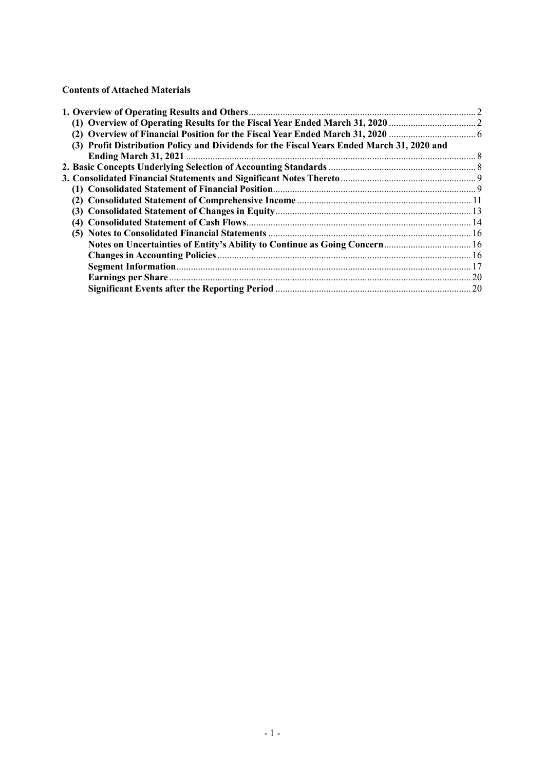#### **Contents of Attached Materials**

| (3) Profit Distribution Policy and Dividends for the Fiscal Years Ended March 31, 2020 and |  |
|--------------------------------------------------------------------------------------------|--|
|                                                                                            |  |
|                                                                                            |  |
|                                                                                            |  |
|                                                                                            |  |
|                                                                                            |  |
|                                                                                            |  |
|                                                                                            |  |
|                                                                                            |  |
| Notes on Uncertainties of Entity's Ability to Continue as Going Concern 16                 |  |
|                                                                                            |  |
|                                                                                            |  |
|                                                                                            |  |
|                                                                                            |  |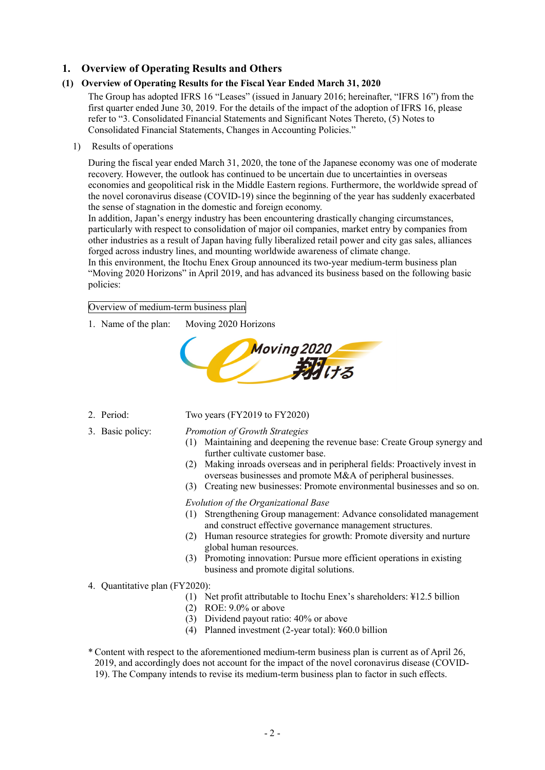## **1. Overview of Operating Results and Others**

### **(1) Overview of Operating Results for the Fiscal Year Ended March 31, 2020**

The Group has adopted IFRS 16 "Leases" (issued in January 2016; hereinafter, "IFRS 16") from the first quarter ended June 30, 2019. For the details of the impact of the adoption of IFRS 16, please refer to "3. Consolidated Financial Statements and Significant Notes Thereto, (5) Notes to Consolidated Financial Statements, Changes in Accounting Policies."

1) Results of operations

During the fiscal year ended March 31, 2020, the tone of the Japanese economy was one of moderate recovery. However, the outlook has continued to be uncertain due to uncertainties in overseas economies and geopolitical risk in the Middle Eastern regions. Furthermore, the worldwide spread of the novel coronavirus disease (COVID-19) since the beginning of the year has suddenly exacerbated the sense of stagnation in the domestic and foreign economy.

In addition, Japan's energy industry has been encountering drastically changing circumstances, particularly with respect to consolidation of major oil companies, market entry by companies from other industries as a result of Japan having fully liberalized retail power and city gas sales, alliances forged across industry lines, and mounting worldwide awareness of climate change.

In this environment, the Itochu Enex Group announced its two-year medium-term business plan "Moving 2020 Horizons" in April 2019, and has advanced its business based on the following basic policies:

Overview of medium-term business plan

1. Name of the plan: Moving 2020 Horizons



- 
- 

# 2. Period: Two years (FY2019 to FY2020)

- 3. Basic policy: *Promotion of Growth Strategies*
	- (1) Maintaining and deepening the revenue base: Create Group synergy and further cultivate customer base.
	- (2) Making inroads overseas and in peripheral fields: Proactively invest in overseas businesses and promote M&A of peripheral businesses.
	- (3) Creating new businesses: Promote environmental businesses and so on.

#### *Evolution of the Organizational Base*

- (1) Strengthening Group management: Advance consolidated management and construct effective governance management structures.
- (2) Human resource strategies for growth: Promote diversity and nurture global human resources.
- (3) Promoting innovation: Pursue more efficient operations in existing business and promote digital solutions.
- 4. Quantitative plan (FY2020):
	- (1) Net profit attributable to Itochu Enex's shareholders: ¥12.5 billion
	- (2) ROE: 9.0% or above
	- (3) Dividend payout ratio: 40% or above
	- (4) Planned investment (2-year total): ¥60.0 billion

\* Content with respect to the aforementioned medium-term business plan is current as of April 26, 2019, and accordingly does not account for the impact of the novel coronavirus disease (COVID-19). The Company intends to revise its medium-term business plan to factor in such effects.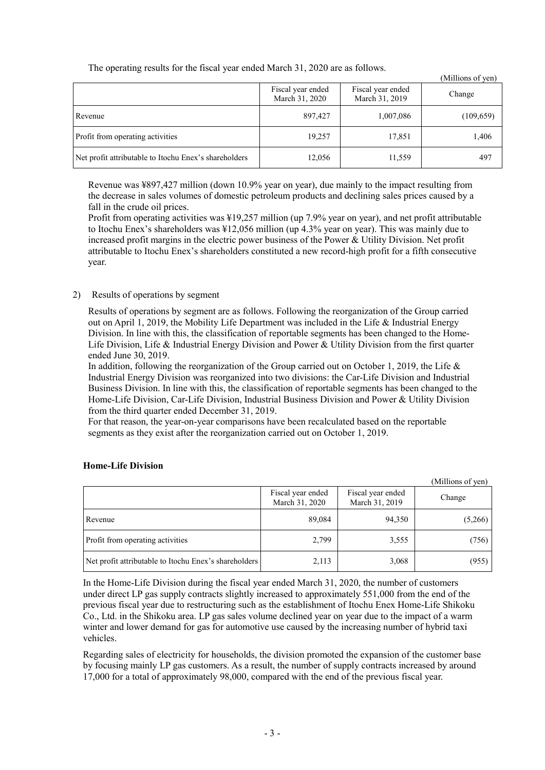| The operating results for the fiscar year ended material states are as follows: |                                     |                                     | (Millions of yen) |
|---------------------------------------------------------------------------------|-------------------------------------|-------------------------------------|-------------------|
|                                                                                 | Fiscal year ended<br>March 31, 2020 | Fiscal year ended<br>March 31, 2019 | Change            |
| Revenue                                                                         | 897,427                             | 1,007,086                           | (109, 659)        |
| Profit from operating activities                                                | 19,257                              | 17,851                              | 1,406             |
| Net profit attributable to Itochu Enex's shareholders                           | 12,056                              | 11,559                              | 497               |

The operating results for the fiscal year ended March 31, 2020 are as follows.

Revenue was ¥897,427 million (down 10.9% year on year), due mainly to the impact resulting from the decrease in sales volumes of domestic petroleum products and declining sales prices caused by a fall in the crude oil prices.

Profit from operating activities was ¥19,257 million (up 7.9% year on year), and net profit attributable to Itochu Enex's shareholders was ¥12,056 million (up 4.3% year on year). This was mainly due to increased profit margins in the electric power business of the Power & Utility Division. Net profit attributable to Itochu Enex's shareholders constituted a new record-high profit for a fifth consecutive year.

### 2) Results of operations by segment

Results of operations by segment are as follows. Following the reorganization of the Group carried out on April 1, 2019, the Mobility Life Department was included in the Life & Industrial Energy Division. In line with this, the classification of reportable segments has been changed to the Home-Life Division, Life & Industrial Energy Division and Power & Utility Division from the first quarter ended June 30, 2019.

In addition, following the reorganization of the Group carried out on October 1, 2019, the Life & Industrial Energy Division was reorganized into two divisions: the Car-Life Division and Industrial Business Division. In line with this, the classification of reportable segments has been changed to the Home-Life Division, Car-Life Division, Industrial Business Division and Power & Utility Division from the third quarter ended December 31, 2019.

For that reason, the year-on-year comparisons have been recalculated based on the reportable segments as they exist after the reorganization carried out on October 1, 2019.

| (Millions of yen)                                     |                                     |                                     |         |  |
|-------------------------------------------------------|-------------------------------------|-------------------------------------|---------|--|
|                                                       | Fiscal year ended<br>March 31, 2020 | Fiscal year ended<br>March 31, 2019 | Change  |  |
| Revenue                                               | 89,084                              | 94,350                              | (5,266) |  |
| <b>Profit from operating activities</b>               | 2,799                               | 3,555                               | (756)   |  |
| Net profit attributable to Itochu Enex's shareholders | 2,113                               | 3,068                               | (955)   |  |

 $\alpha$  and  $\alpha$ 

#### **Home-Life Division**

In the Home-Life Division during the fiscal year ended March 31, 2020, the number of customers under direct LP gas supply contracts slightly increased to approximately 551,000 from the end of the previous fiscal year due to restructuring such as the establishment of Itochu Enex Home-Life Shikoku Co., Ltd. in the Shikoku area. LP gas sales volume declined year on year due to the impact of a warm winter and lower demand for gas for automotive use caused by the increasing number of hybrid taxi vehicles.

Regarding sales of electricity for households, the division promoted the expansion of the customer base by focusing mainly LP gas customers. As a result, the number of supply contracts increased by around 17,000 for a total of approximately 98,000, compared with the end of the previous fiscal year.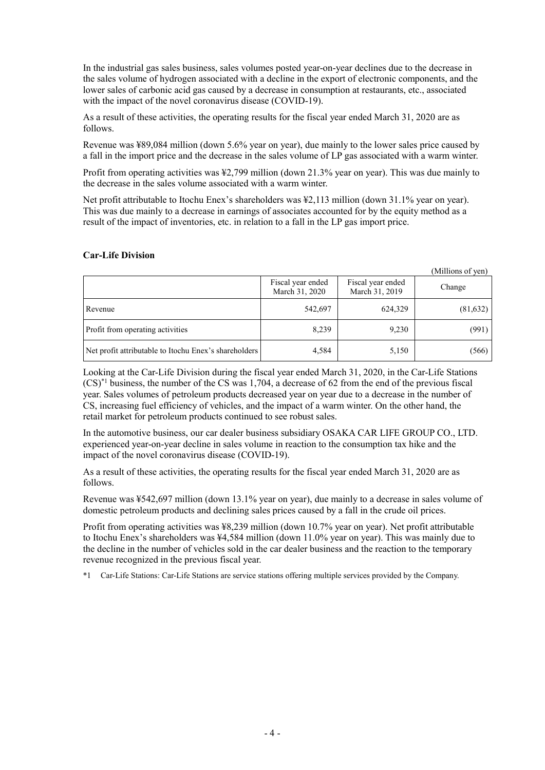In the industrial gas sales business, sales volumes posted year-on-year declines due to the decrease in the sales volume of hydrogen associated with a decline in the export of electronic components, and the lower sales of carbonic acid gas caused by a decrease in consumption at restaurants, etc., associated with the impact of the novel coronavirus disease (COVID-19).

As a result of these activities, the operating results for the fiscal year ended March 31, 2020 are as follows.

Revenue was ¥89,084 million (down 5.6% year on year), due mainly to the lower sales price caused by a fall in the import price and the decrease in the sales volume of LP gas associated with a warm winter.

Profit from operating activities was ¥2,799 million (down 21.3% year on year). This was due mainly to the decrease in the sales volume associated with a warm winter.

Net profit attributable to Itochu Enex's shareholders was ¥2,113 million (down 31.1% year on year). This was due mainly to a decrease in earnings of associates accounted for by the equity method as a result of the impact of inventories, etc. in relation to a fall in the LP gas import price.

#### **Car-Life Division**

|                                                       |                                     |                                     | (Millions of yen) |
|-------------------------------------------------------|-------------------------------------|-------------------------------------|-------------------|
|                                                       | Fiscal year ended<br>March 31, 2020 | Fiscal year ended<br>March 31, 2019 | Change            |
| Revenue                                               | 542,697                             | 624,329                             | (81, 632)         |
| Profit from operating activities                      | 8,239                               | 9,230                               | (991)             |
| Net profit attributable to Itochu Enex's shareholders | 4,584                               | 5,150                               | (566)             |

Looking at the Car-Life Division during the fiscal year ended March 31, 2020, in the Car-Life Stations (CS)\*1 business, the number of the CS was 1,704, a decrease of 62 from the end of the previous fiscal year. Sales volumes of petroleum products decreased year on year due to a decrease in the number of CS, increasing fuel efficiency of vehicles, and the impact of a warm winter. On the other hand, the retail market for petroleum products continued to see robust sales.

In the automotive business, our car dealer business subsidiary OSAKA CAR LIFE GROUP CO., LTD. experienced year-on-year decline in sales volume in reaction to the consumption tax hike and the impact of the novel coronavirus disease (COVID-19).

As a result of these activities, the operating results for the fiscal year ended March 31, 2020 are as follows.

Revenue was ¥542,697 million (down 13.1% year on year), due mainly to a decrease in sales volume of domestic petroleum products and declining sales prices caused by a fall in the crude oil prices.

Profit from operating activities was ¥8,239 million (down 10.7% year on year). Net profit attributable to Itochu Enex's shareholders was ¥4,584 million (down 11.0% year on year). This was mainly due to the decline in the number of vehicles sold in the car dealer business and the reaction to the temporary revenue recognized in the previous fiscal year.

\*1 Car-Life Stations: Car-Life Stations are service stations offering multiple services provided by the Company.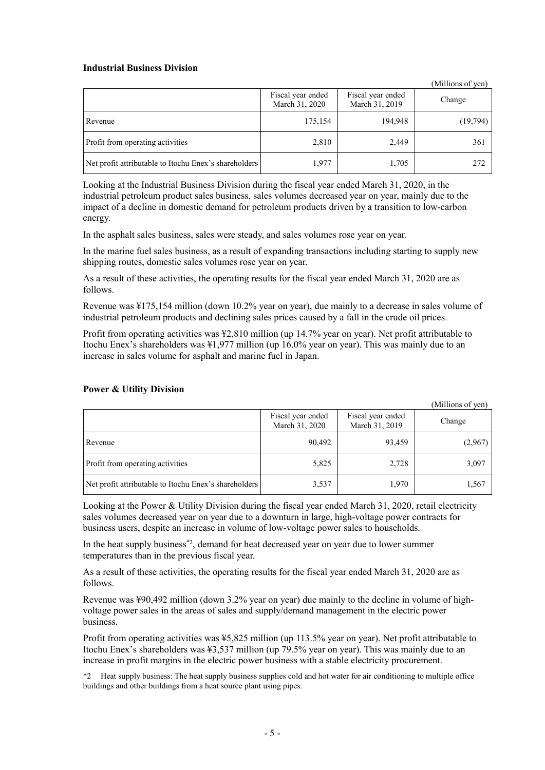#### **Industrial Business Division**

|                                                       |                                     |                                     | (Millions of yen) |
|-------------------------------------------------------|-------------------------------------|-------------------------------------|-------------------|
|                                                       | Fiscal year ended<br>March 31, 2020 | Fiscal year ended<br>March 31, 2019 | Change            |
| Revenue                                               | 175,154                             | 194,948                             | (19,794)          |
| Profit from operating activities                      | 2,810                               | 2,449                               | 361               |
| Net profit attributable to Itochu Enex's shareholders | 1,977                               | 1,705                               | 272               |

Looking at the Industrial Business Division during the fiscal year ended March 31, 2020, in the industrial petroleum product sales business, sales volumes decreased year on year, mainly due to the impact of a decline in domestic demand for petroleum products driven by a transition to low-carbon energy.

In the asphalt sales business, sales were steady, and sales volumes rose year on year.

In the marine fuel sales business, as a result of expanding transactions including starting to supply new shipping routes, domestic sales volumes rose year on year.

As a result of these activities, the operating results for the fiscal year ended March 31, 2020 are as follows.

Revenue was ¥175,154 million (down 10.2% year on year), due mainly to a decrease in sales volume of industrial petroleum products and declining sales prices caused by a fall in the crude oil prices.

Profit from operating activities was ¥2,810 million (up 14.7% year on year). Net profit attributable to Itochu Enex's shareholders was ¥1,977 million (up 16.0% year on year). This was mainly due to an increase in sales volume for asphalt and marine fuel in Japan.

|                                                       |                                     |                                     | (Millions of yen) |
|-------------------------------------------------------|-------------------------------------|-------------------------------------|-------------------|
|                                                       | Fiscal year ended<br>March 31, 2020 | Fiscal year ended<br>March 31, 2019 | Change            |
| Revenue                                               | 90,492                              | 93,459                              | (2,967)           |
| Profit from operating activities                      | 5,825                               | 2,728                               | 3,097             |
| Net profit attributable to Itochu Enex's shareholders | 3,537                               | 1,970                               | 1,567             |

#### **Power & Utility Division**

Looking at the Power & Utility Division during the fiscal year ended March 31, 2020, retail electricity sales volumes decreased year on year due to a downturn in large, high-voltage power contracts for business users, despite an increase in volume of low-voltage power sales to households.

In the heat supply business<sup>\*2</sup>, demand for heat decreased year on year due to lower summer temperatures than in the previous fiscal year.

As a result of these activities, the operating results for the fiscal year ended March 31, 2020 are as follows.

Revenue was ¥90,492 million (down 3.2% year on year) due mainly to the decline in volume of highvoltage power sales in the areas of sales and supply/demand management in the electric power business.

Profit from operating activities was ¥5,825 million (up 113.5% year on year). Net profit attributable to Itochu Enex's shareholders was ¥3,537 million (up 79.5% year on year). This was mainly due to an increase in profit margins in the electric power business with a stable electricity procurement.

\*2 Heat supply business: The heat supply business supplies cold and hot water for air conditioning to multiple office buildings and other buildings from a heat source plant using pipes.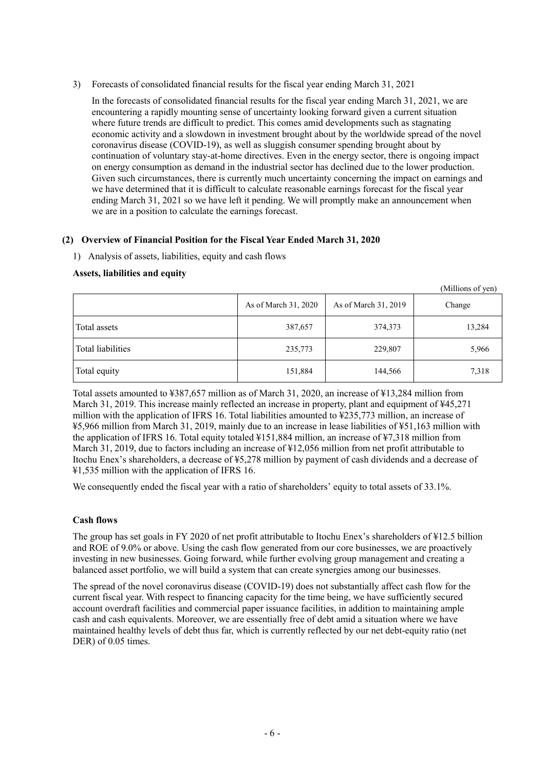3) Forecasts of consolidated financial results for the fiscal year ending March 31, 2021

In the forecasts of consolidated financial results for the fiscal year ending March 31, 2021, we are encountering a rapidly mounting sense of uncertainty looking forward given a current situation where future trends are difficult to predict. This comes amid developments such as stagnating economic activity and a slowdown in investment brought about by the worldwide spread of the novel coronavirus disease (COVID-19), as well as sluggish consumer spending brought about by continuation of voluntary stay-at-home directives. Even in the energy sector, there is ongoing impact on energy consumption as demand in the industrial sector has declined due to the lower production. Given such circumstances, there is currently much uncertainty concerning the impact on earnings and we have determined that it is difficult to calculate reasonable earnings forecast for the fiscal year ending March 31, 2021 so we have left it pending. We will promptly make an announcement when we are in a position to calculate the earnings forecast.

## **(2) Overview of Financial Position for the Fiscal Year Ended March 31, 2020**

1) Analysis of assets, liabilities, equity and cash flows

#### **Assets, liabilities and equity**

|                   | As of March 31, 2020 | As of March 31, 2019 | (Millions 01 yen)<br>Change |
|-------------------|----------------------|----------------------|-----------------------------|
| Total assets      | 387,657              | 374,373              | 13,284                      |
| Total liabilities | 235,773              | 229,807              | 5,966                       |
| Total equity      | 151,884              | 144,566              | 7,318                       |

 $\alpha$  and  $\beta$ 

Total assets amounted to ¥387,657 million as of March 31, 2020, an increase of ¥13,284 million from March 31, 2019. This increase mainly reflected an increase in property, plant and equipment of ¥45,271 million with the application of IFRS 16. Total liabilities amounted to ¥235,773 million, an increase of ¥5,966 million from March 31, 2019, mainly due to an increase in lease liabilities of ¥51,163 million with the application of IFRS 16. Total equity totaled ¥151,884 million, an increase of ¥7,318 million from March 31, 2019, due to factors including an increase of ¥12,056 million from net profit attributable to Itochu Enex's shareholders, a decrease of ¥5,278 million by payment of cash dividends and a decrease of ¥1,535 million with the application of IFRS 16.

We consequently ended the fiscal year with a ratio of shareholders' equity to total assets of 33.1%.

#### **Cash flows**

The group has set goals in FY 2020 of net profit attributable to Itochu Enex's shareholders of ¥12.5 billion and ROE of 9.0% or above. Using the cash flow generated from our core businesses, we are proactively investing in new businesses. Going forward, while further evolving group management and creating a balanced asset portfolio, we will build a system that can create synergies among our businesses.

The spread of the novel coronavirus disease (COVID-19) does not substantially affect cash flow for the current fiscal year. With respect to financing capacity for the time being, we have sufficiently secured account overdraft facilities and commercial paper issuance facilities, in addition to maintaining ample cash and cash equivalents. Moreover, we are essentially free of debt amid a situation where we have maintained healthy levels of debt thus far, which is currently reflected by our net debt-equity ratio (net DER) of 0.05 times.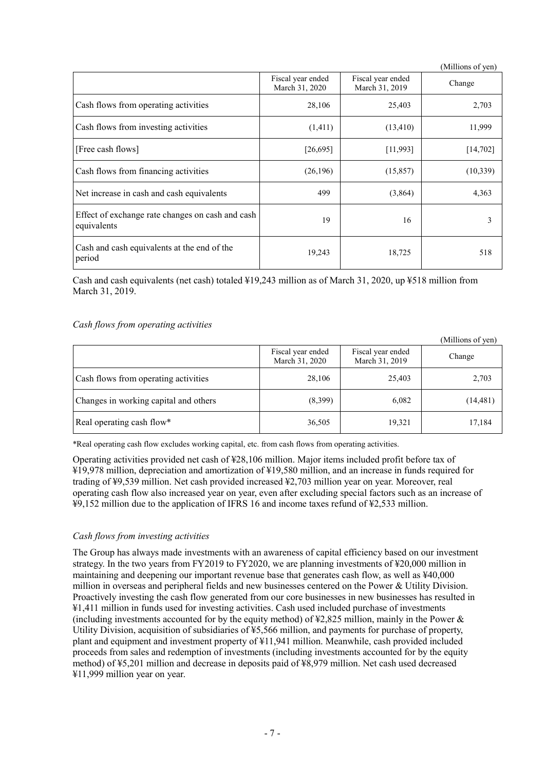|                                                                 |                                     |                                     | (Millions of yen) |
|-----------------------------------------------------------------|-------------------------------------|-------------------------------------|-------------------|
|                                                                 | Fiscal year ended<br>March 31, 2020 | Fiscal year ended<br>March 31, 2019 | Change            |
| Cash flows from operating activities                            | 28,106                              | 25,403                              | 2,703             |
| Cash flows from investing activities                            | (1,411)                             | (13, 410)                           | 11,999            |
| [Free cash flows]                                               | [26,695]                            | [11,993]                            | [14, 702]         |
| Cash flows from financing activities                            | (26, 196)                           | (15, 857)                           | (10,339)          |
| Net increase in cash and cash equivalents                       | 499                                 | (3,864)                             | 4,363             |
| Effect of exchange rate changes on cash and cash<br>equivalents | 19                                  | 16                                  | 3                 |
| Cash and cash equivalents at the end of the<br>period           | 19,243                              | 18,725                              | 518               |

Cash and cash equivalents (net cash) totaled  $\frac{1}{2}19,243$  million as of March 31, 2020, up  $\frac{1}{2}518$  million from March 31, 2019.

#### *Cash flows from operating activities*

|                                       |                                     |                                     | (Millions of yen) |
|---------------------------------------|-------------------------------------|-------------------------------------|-------------------|
|                                       | Fiscal year ended<br>March 31, 2020 | Fiscal year ended<br>March 31, 2019 | Change            |
| Cash flows from operating activities  | 28,106                              | 25,403                              | 2,703             |
| Changes in working capital and others | (8,399)                             | 6,082                               | (14, 481)         |
| Real operating cash flow*             | 36,505                              | 19,321                              | 17,184            |

\*Real operating cash flow excludes working capital, etc. from cash flows from operating activities.

Operating activities provided net cash of ¥28,106 million. Major items included profit before tax of ¥19,978 million, depreciation and amortization of ¥19,580 million, and an increase in funds required for trading of ¥9,539 million. Net cash provided increased ¥2,703 million year on year. Moreover, real operating cash flow also increased year on year, even after excluding special factors such as an increase of ¥9,152 million due to the application of IFRS 16 and income taxes refund of ¥2,533 million.

#### *Cash flows from investing activities*

The Group has always made investments with an awareness of capital efficiency based on our investment strategy. In the two years from FY2019 to FY2020, we are planning investments of ¥20,000 million in maintaining and deepening our important revenue base that generates cash flow, as well as ¥40,000 million in overseas and peripheral fields and new businesses centered on the Power & Utility Division. Proactively investing the cash flow generated from our core businesses in new businesses has resulted in ¥1,411 million in funds used for investing activities. Cash used included purchase of investments (including investments accounted for by the equity method) of  $\frac{1}{2}2.825$  million, mainly in the Power & Utility Division, acquisition of subsidiaries of ¥5,566 million, and payments for purchase of property, plant and equipment and investment property of ¥11,941 million. Meanwhile, cash provided included proceeds from sales and redemption of investments (including investments accounted for by the equity method) of ¥5,201 million and decrease in deposits paid of ¥8,979 million. Net cash used decreased ¥11,999 million year on year.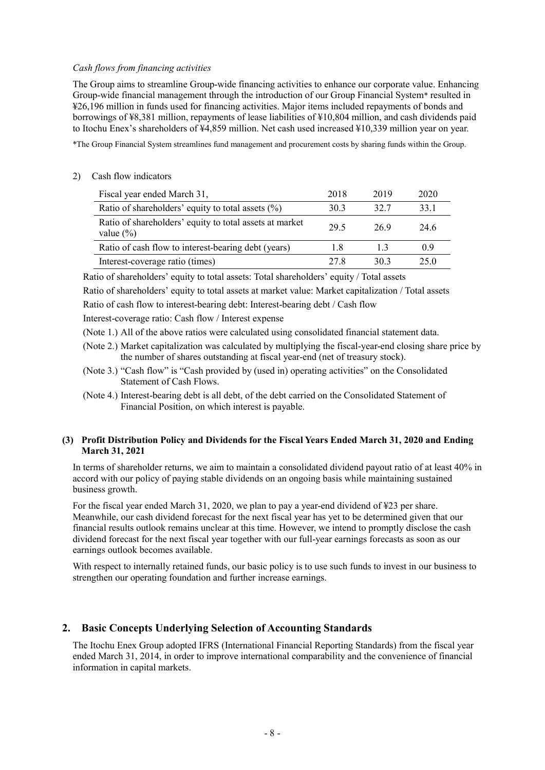#### *Cash flows from financing activities*

The Group aims to streamline Group-wide financing activities to enhance our corporate value. Enhancing Group-wide financial management through the introduction of our Group Financial System\* resulted in ¥26,196 million in funds used for financing activities. Major items included repayments of bonds and borrowings of ¥8,381 million, repayments of lease liabilities of ¥10,804 million, and cash dividends paid to Itochu Enex's shareholders of ¥4,859 million. Net cash used increased ¥10,339 million year on year.

\*The Group Financial System streamlines fund management and procurement costs by sharing funds within the Group.

#### 2) Cash flow indicators

| Fiscal year ended March 31,                                              | 2018 | 2019 | 2020 |
|--------------------------------------------------------------------------|------|------|------|
| Ratio of shareholders' equity to total assets $(\%)$                     | 30.3 | 32.7 | 33.1 |
| Ratio of shareholders' equity to total assets at market<br>value $(\% )$ | 29.5 | 26.9 | 24.6 |
| Ratio of cash flow to interest-bearing debt (years)                      | 1.8  | 13   | 0.9  |
| Interest-coverage ratio (times)                                          | 27.8 | 30.3 | 25.0 |

Ratio of shareholders' equity to total assets: Total shareholders' equity / Total assets

Ratio of shareholders' equity to total assets at market value: Market capitalization / Total assets Ratio of cash flow to interest-bearing debt: Interest-bearing debt / Cash flow

Interest-coverage ratio: Cash flow / Interest expense

(Note 1.) All of the above ratios were calculated using consolidated financial statement data.

- (Note 2.) Market capitalization was calculated by multiplying the fiscal-year-end closing share price by the number of shares outstanding at fiscal year-end (net of treasury stock).
- (Note 3.) "Cash flow" is "Cash provided by (used in) operating activities" on the Consolidated Statement of Cash Flows.
- (Note 4.) Interest-bearing debt is all debt, of the debt carried on the Consolidated Statement of Financial Position, on which interest is payable.

#### **(3) Profit Distribution Policy and Dividends for the Fiscal Years Ended March 31, 2020 and Ending March 31, 2021**

In terms of shareholder returns, we aim to maintain a consolidated dividend payout ratio of at least 40% in accord with our policy of paying stable dividends on an ongoing basis while maintaining sustained business growth.

For the fiscal year ended March 31, 2020, we plan to pay a year-end dividend of ¥23 per share. Meanwhile, our cash dividend forecast for the next fiscal year has yet to be determined given that our financial results outlook remains unclear at this time. However, we intend to promptly disclose the cash dividend forecast for the next fiscal year together with our full-year earnings forecasts as soon as our earnings outlook becomes available.

With respect to internally retained funds, our basic policy is to use such funds to invest in our business to strengthen our operating foundation and further increase earnings.

#### **2. Basic Concepts Underlying Selection of Accounting Standards**

The Itochu Enex Group adopted IFRS (International Financial Reporting Standards) from the fiscal year ended March 31, 2014, in order to improve international comparability and the convenience of financial information in capital markets.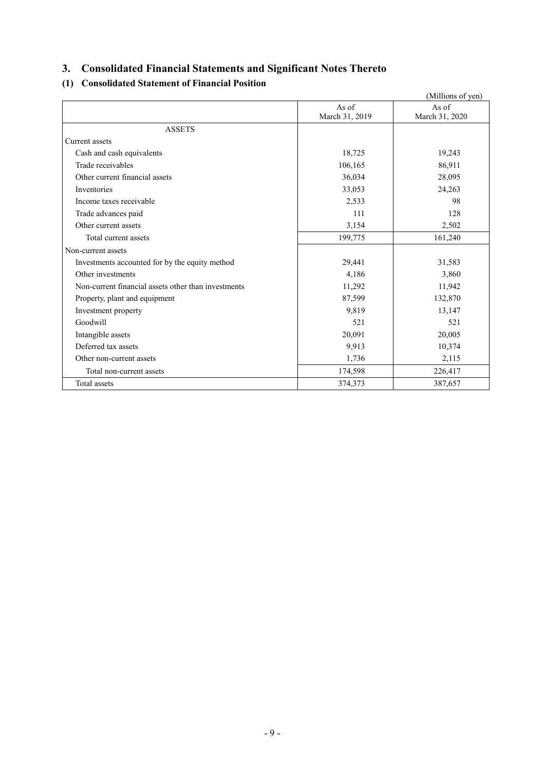# **3. Consolidated Financial Statements and Significant Notes Thereto**

# **(1) Consolidated Statement of Financial Position**

|                                                     |                | (Millions of yen) |
|-----------------------------------------------------|----------------|-------------------|
|                                                     | As of          | As of             |
|                                                     | March 31, 2019 | March 31, 2020    |
| <b>ASSETS</b>                                       |                |                   |
| Current assets                                      |                |                   |
| Cash and cash equivalents                           | 18,725         | 19,243            |
| Trade receivables                                   | 106,165        | 86,911            |
| Other current financial assets                      | 36,034         | 28,095            |
| Inventories                                         | 33,053         | 24,263            |
| Income taxes receivable                             | 2,533          | 98                |
| Trade advances paid                                 | 111            | 128               |
| Other current assets                                | 3,154          | 2,502             |
| Total current assets                                | 199,775        | 161,240           |
| Non-current assets                                  |                |                   |
| Investments accounted for by the equity method      | 29,441         | 31,583            |
| Other investments                                   | 4,186          | 3,860             |
| Non-current financial assets other than investments | 11,292         | 11,942            |
| Property, plant and equipment                       | 87,599         | 132,870           |
| Investment property                                 | 9,819          | 13,147            |
| Goodwill                                            | 521            | 521               |
| Intangible assets                                   | 20,091         | 20,005            |
| Deferred tax assets                                 | 9,913          | 10,374            |
| Other non-current assets                            | 1,736          | 2,115             |
| Total non-current assets                            | 174,598        | 226,417           |
| Total assets                                        | 374,373        | 387,657           |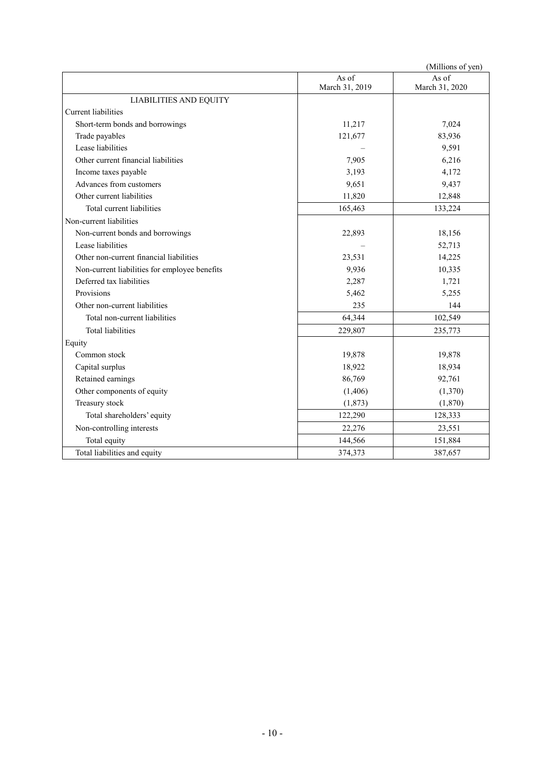|                                               |                         | (Millions of yen)       |
|-----------------------------------------------|-------------------------|-------------------------|
|                                               | As of<br>March 31, 2019 | As of<br>March 31, 2020 |
| <b>LIABILITIES AND EQUITY</b>                 |                         |                         |
| <b>Current</b> liabilities                    |                         |                         |
| Short-term bonds and borrowings               | 11,217                  | 7,024                   |
| Trade payables                                | 121,677                 | 83,936                  |
| Lease liabilities                             |                         | 9,591                   |
| Other current financial liabilities           | 7,905                   | 6,216                   |
| Income taxes payable                          | 3,193                   | 4,172                   |
| Advances from customers                       | 9,651                   | 9,437                   |
| Other current liabilities                     | 11,820                  | 12,848                  |
| Total current liabilities                     | 165,463                 | 133,224                 |
| Non-current liabilities                       |                         |                         |
| Non-current bonds and borrowings              | 22,893                  | 18,156                  |
| Lease liabilities                             |                         | 52,713                  |
| Other non-current financial liabilities       | 23,531                  | 14,225                  |
| Non-current liabilities for employee benefits | 9,936                   | 10,335                  |
| Deferred tax liabilities                      | 2,287                   | 1,721                   |
| Provisions                                    | 5,462                   | 5,255                   |
| Other non-current liabilities                 | 235                     | 144                     |
| Total non-current liabilities                 | 64,344                  | 102,549                 |
| <b>Total liabilities</b>                      | 229,807                 | 235,773                 |
| Equity                                        |                         |                         |
| Common stock                                  | 19,878                  | 19,878                  |
| Capital surplus                               | 18,922                  | 18,934                  |
| Retained earnings                             | 86,769                  | 92,761                  |
| Other components of equity                    | (1,406)                 | (1,370)                 |
| Treasury stock                                | (1, 873)                | (1,870)                 |
| Total shareholders' equity                    | 122,290                 | 128,333                 |
| Non-controlling interests                     | 22,276                  | 23,551                  |
| Total equity                                  | 144,566                 | 151,884                 |
| Total liabilities and equity                  | 374,373                 | 387,657                 |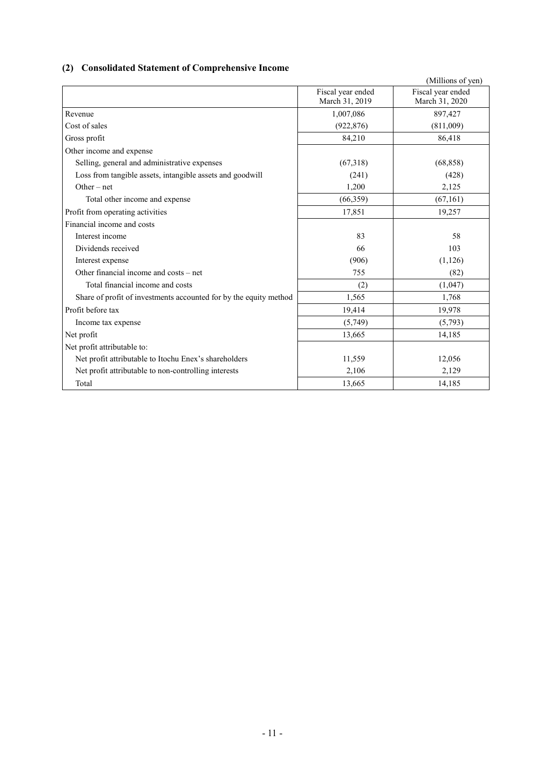# **(2) Consolidated Statement of Comprehensive Income**

|                                                                   |                   | (Millions of yen) |
|-------------------------------------------------------------------|-------------------|-------------------|
|                                                                   | Fiscal year ended | Fiscal year ended |
|                                                                   | March 31, 2019    | March 31, 2020    |
| Revenue                                                           | 1,007,086         | 897,427           |
| Cost of sales                                                     | (922, 876)        | (811,009)         |
| Gross profit                                                      | 84,210            | 86,418            |
| Other income and expense                                          |                   |                   |
| Selling, general and administrative expenses                      | (67,318)          | (68, 858)         |
| Loss from tangible assets, intangible assets and goodwill         | (241)             | (428)             |
| $Other-net$                                                       | 1,200             | 2,125             |
| Total other income and expense                                    | (66, 359)         | (67, 161)         |
| Profit from operating activities                                  | 17,851            | 19,257            |
| Financial income and costs                                        |                   |                   |
| Interest income                                                   | 83                | 58                |
| Dividends received                                                | 66                | 103               |
| Interest expense                                                  | (906)             | (1,126)           |
| Other financial income and costs – net                            | 755               | (82)              |
| Total financial income and costs                                  | (2)               | (1,047)           |
| Share of profit of investments accounted for by the equity method | 1,565             | 1,768             |
| Profit before tax                                                 | 19,414            | 19,978            |
| Income tax expense                                                | (5,749)           | (5,793)           |
| Net profit                                                        | 13,665            | 14,185            |
| Net profit attributable to:                                       |                   |                   |
| Net profit attributable to Itochu Enex's shareholders             | 11,559            | 12,056            |
| Net profit attributable to non-controlling interests              | 2,106             | 2,129             |
| Total                                                             | 13,665            | 14,185            |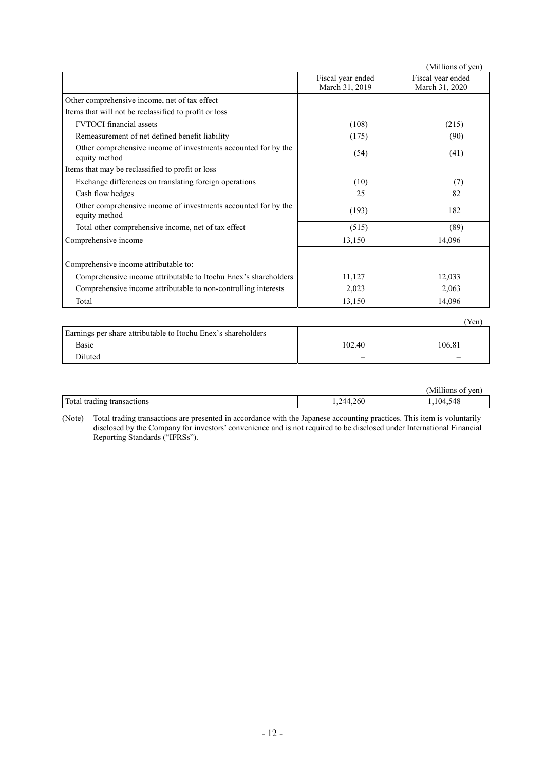|                                                                                 |                                     | (Millions of yen)                   |
|---------------------------------------------------------------------------------|-------------------------------------|-------------------------------------|
|                                                                                 | Fiscal year ended<br>March 31, 2019 | Fiscal year ended<br>March 31, 2020 |
| Other comprehensive income, net of tax effect                                   |                                     |                                     |
| Items that will not be reclassified to profit or loss                           |                                     |                                     |
| <b>FVTOCI</b> financial assets                                                  | (108)                               | (215)                               |
| Remeasurement of net defined benefit liability                                  | (175)                               | (90)                                |
| Other comprehensive income of investments accounted for by the<br>equity method | (54)                                | (41)                                |
| Items that may be reclassified to profit or loss                                |                                     |                                     |
| Exchange differences on translating foreign operations                          | (10)                                | (7)                                 |
| Cash flow hedges                                                                | 25                                  | 82                                  |
| Other comprehensive income of investments accounted for by the<br>equity method | (193)                               | 182                                 |
| Total other comprehensive income, net of tax effect                             | (515)                               | (89)                                |
| Comprehensive income                                                            | 13,150                              | 14,096                              |
| Comprehensive income attributable to:                                           |                                     |                                     |
| Comprehensive income attributable to Itochu Enex's shareholders                 | 11,127                              | 12,033                              |
| Comprehensive income attributable to non-controlling interests                  | 2,023                               | 2,063                               |
| Total                                                                           | 13,150                              | 14,096                              |
|                                                                                 |                                     | (Yen)                               |
| Earnings per share attributable to Itochu Enex's shareholders                   |                                     |                                     |

|        |                                 | ----- |
|--------|---------------------------------|-------|
|        |                                 |       |
| 102.40 | 106.81                          |       |
|        | $\hspace{0.1mm}-\hspace{0.1mm}$ |       |
|        |                                 |       |

|                                  |            | $-111$<br>TPT<br>N/I<br>. |
|----------------------------------|------------|---------------------------|
| Total tradı.<br>tradıng<br>tions | 260<br>,,, | 548<br>104                |

(Note) Total trading transactions are presented in accordance with the Japanese accounting practices. This item is voluntarily disclosed by the Company for investors' convenience and is not required to be disclosed under International Financial Reporting Standards ("IFRSs").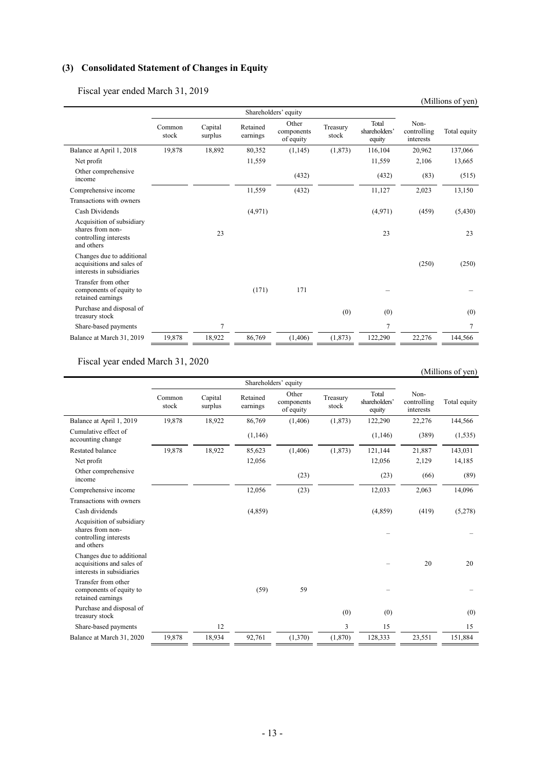# **(3) Consolidated Statement of Changes in Equity**

Fiscal year ended March 31, 2019

|                                                                                      |                 |                      |                      |                                  |                   |                                  |                                  | (Millions of yen) |
|--------------------------------------------------------------------------------------|-----------------|----------------------|----------------------|----------------------------------|-------------------|----------------------------------|----------------------------------|-------------------|
|                                                                                      |                 | Shareholders' equity |                      |                                  |                   |                                  |                                  |                   |
|                                                                                      | Common<br>stock | Capital<br>surplus   | Retained<br>earnings | Other<br>components<br>of equity | Treasury<br>stock | Total<br>shareholders'<br>equity | Non-<br>controlling<br>interests | Total equity      |
| Balance at April 1, 2018                                                             | 19,878          | 18,892               | 80,352               | (1,145)                          | (1,873)           | 116,104                          | 20,962                           | 137,066           |
| Net profit                                                                           |                 |                      | 11,559               |                                  |                   | 11,559                           | 2,106                            | 13,665            |
| Other comprehensive<br>income                                                        |                 |                      |                      | (432)                            |                   | (432)                            | (83)                             | (515)             |
| Comprehensive income                                                                 |                 |                      | 11,559               | (432)                            |                   | 11,127                           | 2,023                            | 13,150            |
| Transactions with owners                                                             |                 |                      |                      |                                  |                   |                                  |                                  |                   |
| Cash Dividends                                                                       |                 |                      | (4,971)              |                                  |                   | (4,971)                          | (459)                            | (5, 430)          |
| Acquisition of subsidiary<br>shares from non-<br>controlling interests<br>and others |                 | 23                   |                      |                                  |                   | 23                               |                                  | 23                |
| Changes due to additional<br>acquisitions and sales of<br>interests in subsidiaries  |                 |                      |                      |                                  |                   |                                  | (250)                            | (250)             |
| Transfer from other<br>components of equity to<br>retained earnings                  |                 |                      | (171)                | 171                              |                   |                                  |                                  |                   |
| Purchase and disposal of<br>treasury stock                                           |                 |                      |                      |                                  | (0)               | (0)                              |                                  | (0)               |
| Share-based payments                                                                 |                 | $\overline{7}$       |                      |                                  |                   | $\overline{7}$                   |                                  | $\overline{7}$    |
| Balance at March 31, 2019                                                            | 19,878          | 18,922               | 86,769               | (1,406)                          | (1, 873)          | 122,290                          | 22,276                           | 144,566           |

Fiscal year ended March 31, 2020

|                                                                                      |                      |                    |                      |                                  |                   |                                  |                                  | (Millions of yen) |
|--------------------------------------------------------------------------------------|----------------------|--------------------|----------------------|----------------------------------|-------------------|----------------------------------|----------------------------------|-------------------|
|                                                                                      | Shareholders' equity |                    |                      |                                  |                   |                                  |                                  |                   |
|                                                                                      | Common<br>stock      | Capital<br>surplus | Retained<br>earnings | Other<br>components<br>of equity | Treasury<br>stock | Total<br>shareholders'<br>equity | Non-<br>controlling<br>interests | Total equity      |
| Balance at April 1, 2019                                                             | 19,878               | 18,922             | 86,769               | (1,406)                          | (1,873)           | 122,290                          | 22,276                           | 144,566           |
| Cumulative effect of<br>accounting change                                            |                      |                    | (1,146)              |                                  |                   | (1,146)                          | (389)                            | (1, 535)          |
| <b>Restated balance</b>                                                              | 19,878               | 18,922             | 85,623               | (1, 406)                         | (1, 873)          | 121,144                          | 21,887                           | 143,031           |
| Net profit                                                                           |                      |                    | 12,056               |                                  |                   | 12,056                           | 2,129                            | 14,185            |
| Other comprehensive<br>income                                                        |                      |                    |                      | (23)                             |                   | (23)                             | (66)                             | (89)              |
| Comprehensive income                                                                 |                      |                    | 12,056               | (23)                             |                   | 12,033                           | 2,063                            | 14,096            |
| Transactions with owners                                                             |                      |                    |                      |                                  |                   |                                  |                                  |                   |
| Cash dividends                                                                       |                      |                    | (4,859)              |                                  |                   | (4,859)                          | (419)                            | (5,278)           |
| Acquisition of subsidiary<br>shares from non-<br>controlling interests<br>and others |                      |                    |                      |                                  |                   |                                  |                                  |                   |
| Changes due to additional<br>acquisitions and sales of<br>interests in subsidiaries  |                      |                    |                      |                                  |                   |                                  | 20                               | 20                |
| Transfer from other<br>components of equity to<br>retained earnings                  |                      |                    | (59)                 | 59                               |                   |                                  |                                  |                   |
| Purchase and disposal of<br>treasury stock                                           |                      |                    |                      |                                  | (0)               | (0)                              |                                  | (0)               |
| Share-based payments                                                                 |                      | 12                 |                      |                                  | 3                 | 15                               |                                  | 15                |
| Balance at March 31, 2020                                                            | 19,878               | 18,934             | 92,761               | (1,370)                          | (1, 870)          | 128,333                          | 23,551                           | 151,884           |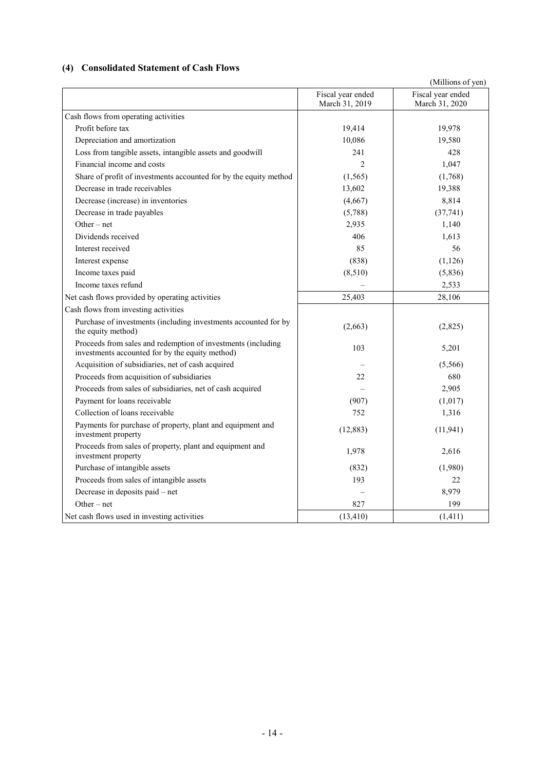## **(4) Consolidated Statement of Cash Flows**

|                                                                                                                 |                                     | (Millions of yen)                   |
|-----------------------------------------------------------------------------------------------------------------|-------------------------------------|-------------------------------------|
|                                                                                                                 | Fiscal year ended<br>March 31, 2019 | Fiscal year ended<br>March 31, 2020 |
| Cash flows from operating activities                                                                            |                                     |                                     |
| Profit before tax                                                                                               | 19,414                              | 19,978                              |
| Depreciation and amortization                                                                                   | 10,086                              | 19,580                              |
| Loss from tangible assets, intangible assets and goodwill                                                       | 241                                 | 428                                 |
| Financial income and costs                                                                                      | $\overline{c}$                      | 1,047                               |
| Share of profit of investments accounted for by the equity method                                               | (1,565)                             | (1,768)                             |
| Decrease in trade receivables                                                                                   | 13,602                              | 19,388                              |
| Decrease (increase) in inventories                                                                              | (4,667)                             | 8,814                               |
| Decrease in trade payables                                                                                      | (5,788)                             | (37,741)                            |
| Other $-$ net                                                                                                   | 2,935                               | 1,140                               |
| Dividends received                                                                                              | 406                                 | 1,613                               |
| Interest received                                                                                               | 85                                  | 56                                  |
| Interest expense                                                                                                | (838)                               | (1,126)                             |
| Income taxes paid                                                                                               | (8,510)                             | (5,836)                             |
| Income taxes refund                                                                                             |                                     | 2,533                               |
| Net cash flows provided by operating activities                                                                 | 25,403                              | 28,106                              |
| Cash flows from investing activities                                                                            |                                     |                                     |
| Purchase of investments (including investments accounted for by<br>the equity method)                           | (2,663)                             | (2,825)                             |
| Proceeds from sales and redemption of investments (including<br>investments accounted for by the equity method) | 103                                 | 5,201                               |
| Acquisition of subsidiaries, net of cash acquired                                                               |                                     | (5,566)                             |
| Proceeds from acquisition of subsidiaries                                                                       | 22                                  | 680                                 |
| Proceeds from sales of subsidiaries, net of cash acquired                                                       |                                     | 2,905                               |
| Payment for loans receivable                                                                                    | (907)                               | (1,017)                             |
| Collection of loans receivable                                                                                  | 752                                 | 1,316                               |
| Payments for purchase of property, plant and equipment and<br>investment property                               | (12, 883)                           | (11, 941)                           |
| Proceeds from sales of property, plant and equipment and<br>investment property                                 | 1,978                               | 2,616                               |
| Purchase of intangible assets                                                                                   | (832)                               | (1,980)                             |
| Proceeds from sales of intangible assets                                                                        | 193                                 | 22                                  |
| Decrease in deposits paid - net                                                                                 |                                     | 8,979                               |
| $Other - net$                                                                                                   | 827                                 | 199                                 |
| Net cash flows used in investing activities                                                                     | (13, 410)                           | (1,411)                             |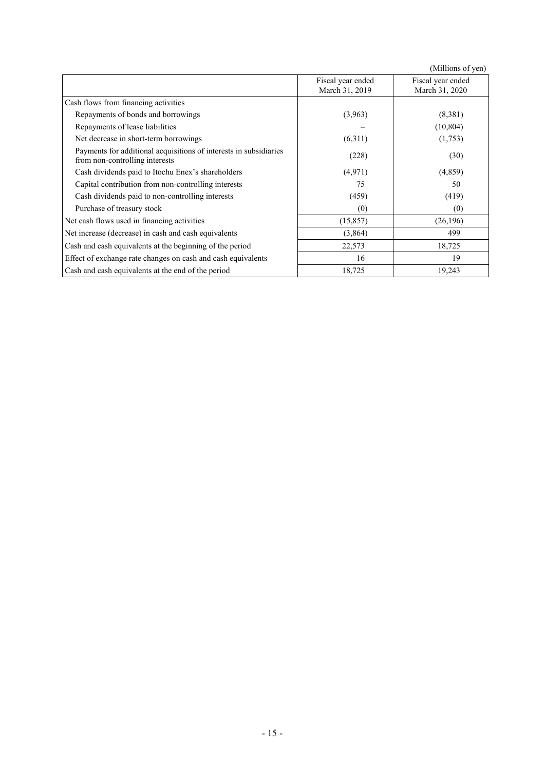|                                                                                                     |                                     | (Millions of yen)                   |
|-----------------------------------------------------------------------------------------------------|-------------------------------------|-------------------------------------|
|                                                                                                     | Fiscal year ended<br>March 31, 2019 | Fiscal year ended<br>March 31, 2020 |
| Cash flows from financing activities                                                                |                                     |                                     |
| Repayments of bonds and borrowings                                                                  | (3,963)                             | (8,381)                             |
| Repayments of lease liabilities                                                                     |                                     | (10, 804)                           |
| Net decrease in short-term borrowings                                                               | (6,311)                             | (1,753)                             |
| Payments for additional acquisitions of interests in subsidiaries<br>from non-controlling interests | (228)                               | (30)                                |
| Cash dividends paid to Itochu Enex's shareholders                                                   | (4,971)                             | (4,859)                             |
| Capital contribution from non-controlling interests                                                 | 75                                  | 50                                  |
| Cash dividends paid to non-controlling interests                                                    | (459)                               | (419)                               |
| Purchase of treasury stock                                                                          | (0)                                 | (0)                                 |
| Net cash flows used in financing activities                                                         | (15, 857)                           | (26, 196)                           |
| Net increase (decrease) in cash and cash equivalents                                                | (3,864)                             | 499                                 |
| Cash and cash equivalents at the beginning of the period                                            | 22,573                              | 18,725                              |
| Effect of exchange rate changes on cash and cash equivalents                                        | 16                                  | 19                                  |
| Cash and cash equivalents at the end of the period                                                  | 18,725                              | 19,243                              |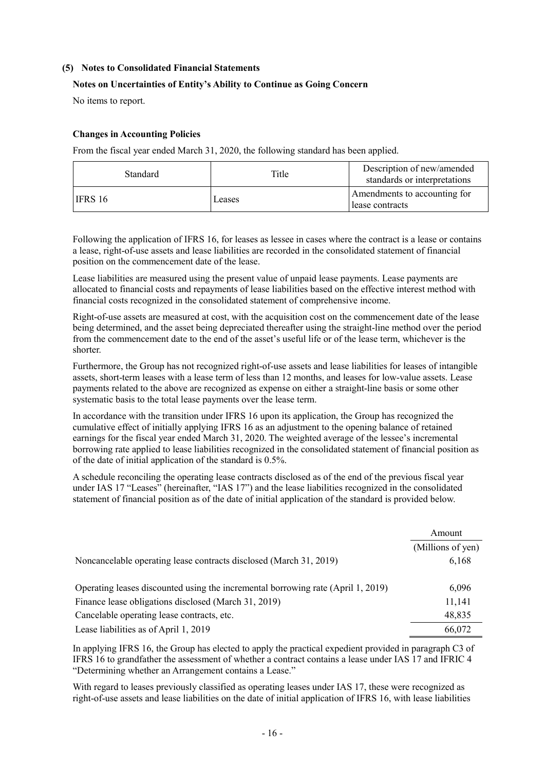#### **(5) Notes to Consolidated Financial Statements**

#### **Notes on Uncertainties of Entity's Ability to Continue as Going Concern**

No items to report.

#### **Changes in Accounting Policies**

From the fiscal year ended March 31, 2020, the following standard has been applied.

| Standard       | Title  | Description of new/amended<br>standards or interpretations |
|----------------|--------|------------------------------------------------------------|
| <b>IFRS 16</b> | Leases | Amendments to accounting for<br>lease contracts            |

Following the application of IFRS 16, for leases as lessee in cases where the contract is a lease or contains a lease, right-of-use assets and lease liabilities are recorded in the consolidated statement of financial position on the commencement date of the lease.

Lease liabilities are measured using the present value of unpaid lease payments. Lease payments are allocated to financial costs and repayments of lease liabilities based on the effective interest method with financial costs recognized in the consolidated statement of comprehensive income.

Right-of-use assets are measured at cost, with the acquisition cost on the commencement date of the lease being determined, and the asset being depreciated thereafter using the straight-line method over the period from the commencement date to the end of the asset's useful life or of the lease term, whichever is the shorter.

Furthermore, the Group has not recognized right-of-use assets and lease liabilities for leases of intangible assets, short-term leases with a lease term of less than 12 months, and leases for low-value assets. Lease payments related to the above are recognized as expense on either a straight-line basis or some other systematic basis to the total lease payments over the lease term.

In accordance with the transition under IFRS 16 upon its application, the Group has recognized the cumulative effect of initially applying IFRS 16 as an adjustment to the opening balance of retained earnings for the fiscal year ended March 31, 2020. The weighted average of the lessee's incremental borrowing rate applied to lease liabilities recognized in the consolidated statement of financial position as of the date of initial application of the standard is 0.5%.

A schedule reconciling the operating lease contracts disclosed as of the end of the previous fiscal year under IAS 17 "Leases" (hereinafter, "IAS 17") and the lease liabilities recognized in the consolidated statement of financial position as of the date of initial application of the standard is provided below.

|                                                                                  | Amount            |
|----------------------------------------------------------------------------------|-------------------|
|                                                                                  | (Millions of yen) |
| Noncancelable operating lease contracts disclosed (March 31, 2019)               | 6,168             |
| Operating leases discounted using the incremental borrowing rate (April 1, 2019) | 6,096             |
| Finance lease obligations disclosed (March 31, 2019)                             | 11,141            |
| Cancelable operating lease contracts, etc.                                       | 48,835            |
| Lease liabilities as of April 1, 2019                                            | 66,072            |

In applying IFRS 16, the Group has elected to apply the practical expedient provided in paragraph C3 of IFRS 16 to grandfather the assessment of whether a contract contains a lease under IAS 17 and IFRIC 4 "Determining whether an Arrangement contains a Lease."

With regard to leases previously classified as operating leases under IAS 17, these were recognized as right-of-use assets and lease liabilities on the date of initial application of IFRS 16, with lease liabilities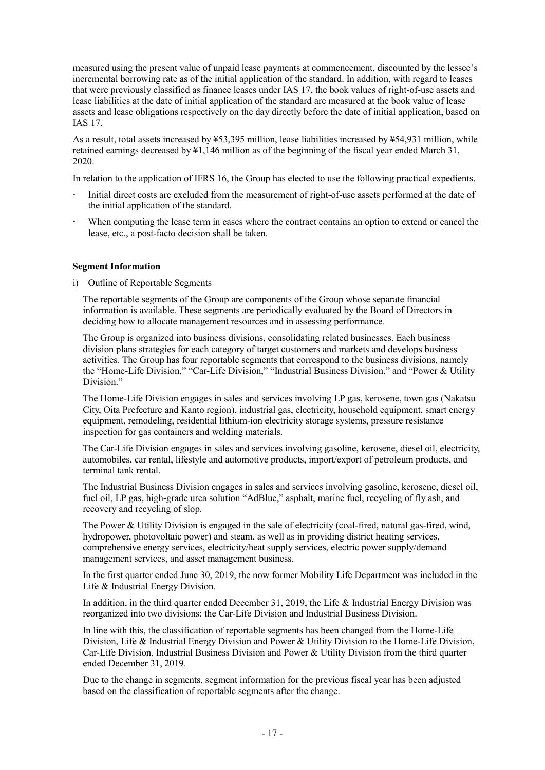measured using the present value of unpaid lease payments at commencement, discounted by the lessee's incremental borrowing rate as of the initial application of the standard. In addition, with regard to leases that were previously classified as finance leases under IAS 17, the book values of right-of-use assets and lease liabilities at the date of initial application of the standard are measured at the book value of lease assets and lease obligations respectively on the day directly before the date of initial application, based on IAS 17.

As a result, total assets increased by ¥53,395 million, lease liabilities increased by ¥54,931 million, while retained earnings decreased by ¥1,146 million as of the beginning of the fiscal year ended March 31, 2020.

In relation to the application of IFRS 16, the Group has elected to use the following practical expedients.

- Initial direct costs are excluded from the measurement of right-of-use assets performed at the date of the initial application of the standard.
- When computing the lease term in cases where the contract contains an option to extend or cancel the lease, etc., a post-facto decision shall be taken.

#### **Segment Information**

i) Outline of Reportable Segments

The reportable segments of the Group are components of the Group whose separate financial information is available. These segments are periodically evaluated by the Board of Directors in deciding how to allocate management resources and in assessing performance.

The Group is organized into business divisions, consolidating related businesses. Each business division plans strategies for each category of target customers and markets and develops business activities. The Group has four reportable segments that correspond to the business divisions, namely the "Home-Life Division," "Car-Life Division," "Industrial Business Division," and "Power & Utility Division."

The Home-Life Division engages in sales and services involving LP gas, kerosene, town gas (Nakatsu City, Oita Prefecture and Kanto region), industrial gas, electricity, household equipment, smart energy equipment, remodeling, residential lithium-ion electricity storage systems, pressure resistance inspection for gas containers and welding materials.

The Car-Life Division engages in sales and services involving gasoline, kerosene, diesel oil, electricity, automobiles, car rental, lifestyle and automotive products, import/export of petroleum products, and terminal tank rental.

The Industrial Business Division engages in sales and services involving gasoline, kerosene, diesel oil, fuel oil, LP gas, high-grade urea solution "AdBlue," asphalt, marine fuel, recycling of fly ash, and recovery and recycling of slop.

The Power & Utility Division is engaged in the sale of electricity (coal-fired, natural gas-fired, wind, hydropower, photovoltaic power) and steam, as well as in providing district heating services, comprehensive energy services, electricity/heat supply services, electric power supply/demand management services, and asset management business.

In the first quarter ended June 30, 2019, the now former Mobility Life Department was included in the Life & Industrial Energy Division.

In addition, in the third quarter ended December 31, 2019, the Life & Industrial Energy Division was reorganized into two divisions: the Car-Life Division and Industrial Business Division.

In line with this, the classification of reportable segments has been changed from the Home-Life Division, Life & Industrial Energy Division and Power & Utility Division to the Home-Life Division, Car-Life Division, Industrial Business Division and Power & Utility Division from the third quarter ended December 31, 2019.

Due to the change in segments, segment information for the previous fiscal year has been adjusted based on the classification of reportable segments after the change.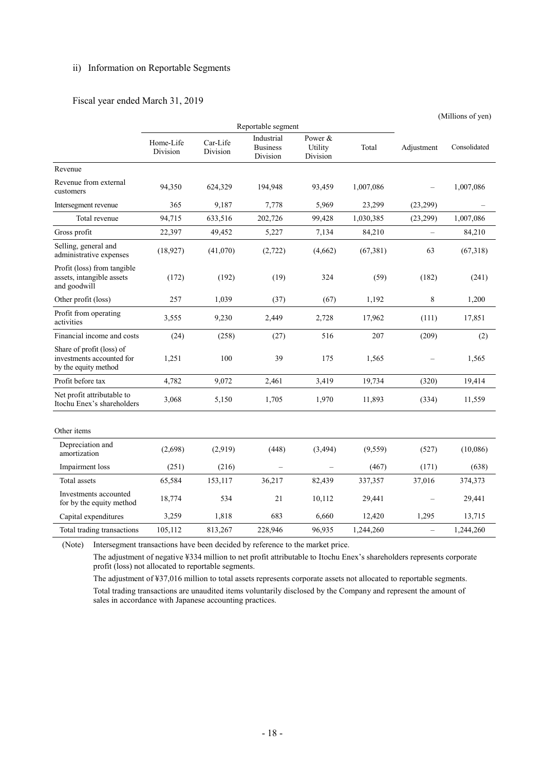#### ii) Information on Reportable Segments

#### Fiscal year ended March 31, 2019

|                                                                                |                       |                      |                                           |                                |           |                          | (Millions of yen) |
|--------------------------------------------------------------------------------|-----------------------|----------------------|-------------------------------------------|--------------------------------|-----------|--------------------------|-------------------|
|                                                                                |                       |                      | Reportable segment                        |                                |           |                          |                   |
|                                                                                | Home-Life<br>Division | Car-Life<br>Division | Industrial<br><b>Business</b><br>Division | Power &<br>Utility<br>Division | Total     | Adjustment               | Consolidated      |
| Revenue                                                                        |                       |                      |                                           |                                |           |                          |                   |
| Revenue from external<br>customers                                             | 94,350                | 624,329              | 194,948                                   | 93,459                         | 1,007,086 |                          | 1,007,086         |
| Intersegment revenue                                                           | 365                   | 9,187                | 7,778                                     | 5,969                          | 23,299    | (23, 299)                |                   |
| Total revenue                                                                  | 94,715                | 633,516              | 202,726                                   | 99,428                         | 1,030,385 | (23,299)                 | 1,007,086         |
| Gross profit                                                                   | 22,397                | 49,452               | 5,227                                     | 7,134                          | 84,210    | $\equiv$                 | 84,210            |
| Selling, general and<br>administrative expenses                                | (18, 927)             | (41,070)             | (2,722)                                   | (4,662)                        | (67, 381) | 63                       | (67,318)          |
| Profit (loss) from tangible<br>assets, intangible assets<br>and goodwill       | (172)                 | (192)                | (19)                                      | 324                            | (59)      | (182)                    | (241)             |
| Other profit (loss)                                                            | 257                   | 1,039                | (37)                                      | (67)                           | 1,192     | 8                        | 1,200             |
| Profit from operating<br>activities                                            | 3,555                 | 9,230                | 2,449                                     | 2,728                          | 17,962    | (111)                    | 17,851            |
| Financial income and costs                                                     | (24)                  | (258)                | (27)                                      | 516                            | 207       | (209)                    | (2)               |
| Share of profit (loss) of<br>investments accounted for<br>by the equity method | 1,251                 | 100                  | 39                                        | 175                            | 1,565     |                          | 1,565             |
| Profit before tax                                                              | 4,782                 | 9,072                | 2,461                                     | 3,419                          | 19,734    | (320)                    | 19,414            |
| Net profit attributable to<br>Itochu Enex's shareholders                       | 3,068                 | 5,150                | 1,705                                     | 1,970                          | 11,893    | (334)                    | 11,559            |
| Other items                                                                    |                       |                      |                                           |                                |           |                          |                   |
| Depreciation and<br>amortization                                               | (2,698)               | (2.919)              | (448)                                     | (3, 494)                       | (9,559)   | (527)                    | (10,086)          |
| Impairment loss                                                                | (251)                 | (216)                |                                           |                                | (467)     | (171)                    | (638)             |
| Total assets                                                                   | 65,584                | 153,117              | 36,217                                    | 82,439                         | 337,357   | 37,016                   | 374,373           |
| Investments accounted<br>for by the equity method                              | 18,774                | 534                  | 21                                        | 10,112                         | 29,441    |                          | 29,441            |
| Capital expenditures                                                           | 3,259                 | 1,818                | 683                                       | 6,660                          | 12,420    | 1,295                    | 13,715            |
| Total trading transactions                                                     | 105.112               | 813,267              | 228,946                                   | 96,935                         | 1.244.260 | $\overline{\phantom{0}}$ | 1.244.260         |

(Note) Intersegment transactions have been decided by reference to the market price.

The adjustment of negative ¥334 million to net profit attributable to Itochu Enex's shareholders represents corporate profit (loss) not allocated to reportable segments.

The adjustment of ¥37,016 million to total assets represents corporate assets not allocated to reportable segments. Total trading transactions are unaudited items voluntarily disclosed by the Company and represent the amount of sales in accordance with Japanese accounting practices.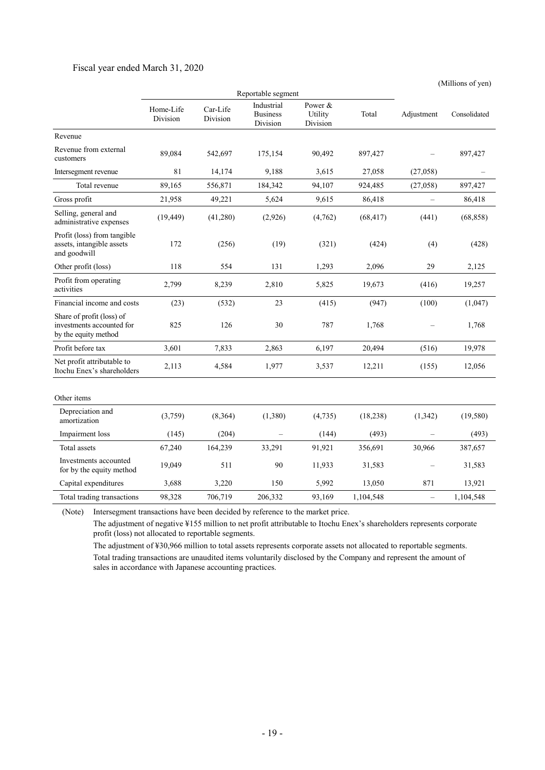#### Fiscal year ended March 31, 2020

(Millions of yen)

|                                                                                | Reportable segment    |                      |                                           |                                |           |                          |              |
|--------------------------------------------------------------------------------|-----------------------|----------------------|-------------------------------------------|--------------------------------|-----------|--------------------------|--------------|
|                                                                                | Home-Life<br>Division | Car-Life<br>Division | Industrial<br><b>Business</b><br>Division | Power &<br>Utility<br>Division | Total     | Adjustment               | Consolidated |
| Revenue                                                                        |                       |                      |                                           |                                |           |                          |              |
| Revenue from external<br>customers                                             | 89,084                | 542,697              | 175,154                                   | 90,492                         | 897,427   |                          | 897,427      |
| Intersegment revenue                                                           | 81                    | 14,174               | 9,188                                     | 3,615                          | 27,058    | (27,058)                 |              |
| Total revenue                                                                  | 89,165                | 556,871              | 184,342                                   | 94,107                         | 924,485   | (27,058)                 | 897,427      |
| Gross profit                                                                   | 21,958                | 49,221               | 5,624                                     | 9,615                          | 86,418    | $\overline{\phantom{0}}$ | 86,418       |
| Selling, general and<br>administrative expenses                                | (19, 449)             | (41,280)             | (2,926)                                   | (4,762)                        | (68, 417) | (441)                    | (68, 858)    |
| Profit (loss) from tangible<br>assets, intangible assets<br>and goodwill       | 172                   | (256)                | (19)                                      | (321)                          | (424)     | (4)                      | (428)        |
| Other profit (loss)                                                            | 118                   | 554                  | 131                                       | 1,293                          | 2,096     | 29                       | 2,125        |
| Profit from operating<br>activities                                            | 2,799                 | 8,239                | 2,810                                     | 5,825                          | 19,673    | (416)                    | 19,257       |
| Financial income and costs                                                     | (23)                  | (532)                | 23                                        | (415)                          | (947)     | (100)                    | (1,047)      |
| Share of profit (loss) of<br>investments accounted for<br>by the equity method | 825                   | 126                  | 30                                        | 787                            | 1,768     |                          | 1,768        |
| Profit before tax                                                              | 3,601                 | 7,833                | 2,863                                     | 6,197                          | 20,494    | (516)                    | 19,978       |
| Net profit attributable to<br>Itochu Enex's shareholders                       | 2,113                 | 4,584                | 1,977                                     | 3,537                          | 12,211    | (155)                    | 12,056       |
| Other items                                                                    |                       |                      |                                           |                                |           |                          |              |
| Depreciation and<br>amortization                                               | (3,759)               | (8,364)              | (1,380)                                   | (4,735)                        | (18, 238) | (1, 342)                 | (19,580)     |
| Impairment loss                                                                | (145)                 | (204)                |                                           | (144)                          | (493)     |                          | (493)        |
| <b>Total</b> assets                                                            | 67,240                | 164,239              | 33,291                                    | 91,921                         | 356,691   | 30,966                   | 387,657      |
| Investments accounted<br>for by the equity method                              | 19,049                | 511                  | 90                                        | 11,933                         | 31,583    |                          | 31,583       |
| Capital expenditures                                                           | 3,688                 | 3,220                | 150                                       | 5,992                          | 13,050    | 871                      | 13,921       |
| Total trading transactions                                                     | 98,328                | 706,719              | 206,332                                   | 93,169                         | 1,104,548 | $\equiv$                 | 1,104,548    |
|                                                                                |                       |                      |                                           |                                |           |                          |              |

(Note) Intersegment transactions have been decided by reference to the market price.

The adjustment of negative ¥155 million to net profit attributable to Itochu Enex's shareholders represents corporate profit (loss) not allocated to reportable segments.

The adjustment of ¥30,966 million to total assets represents corporate assets not allocated to reportable segments. Total trading transactions are unaudited items voluntarily disclosed by the Company and represent the amount of sales in accordance with Japanese accounting practices.